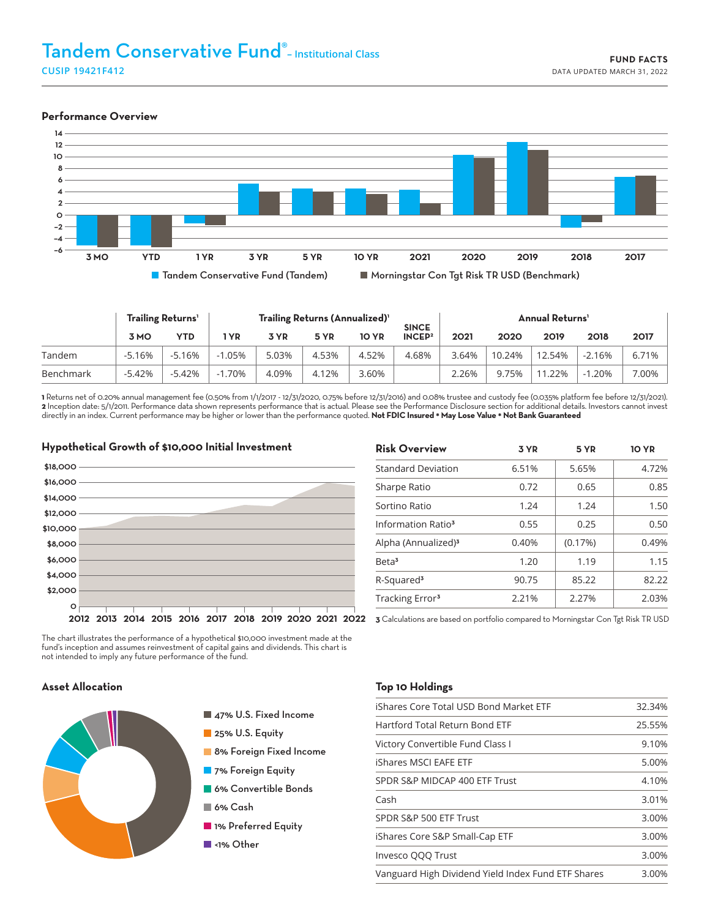#### **Performance Overview**



|           | <b>Trailing Returns'</b> |          | Trailing Returns (Annualized) <sup>1</sup> |       |       |              | <b>SINCE</b>       | <b>Annual Returns'</b> |        |        |          |          |
|-----------|--------------------------|----------|--------------------------------------------|-------|-------|--------------|--------------------|------------------------|--------|--------|----------|----------|
|           | 3 MO                     | YTD      | l YR                                       | 3 YR  | 5 YR  | <b>10 YR</b> | INCEP <sup>2</sup> | 2021                   | 2020   | 2019   | 2018     | 2017     |
| Tandem    | $-5.16%$                 | $-5.16%$ | $-1.05%$                                   | 5.03% | 4.53% | 4.52%        | 4.68%              | 3.64%                  | 10.24% | 12.54% | $-2.16%$ | $6.71\%$ |
| Benchmark | $-5.42%$                 | $-5.42%$ | $-1.70%$                                   | 4.09% | 4.12% | 3.60%        |                    | 2.26%                  | 9.75%  | 11.22% | $-1.20%$ | 7.00%    |

**1** Returns net of 0.20% annual management fee (0.50% from 1/1/2017 - 12/31/2020, 0.75% before 12/31/2016) and 0.08% trustee and custody fee (0.035% platform fee before 12/31/2021). **2** Inception date: 5/1/2011. Performance data shown represents performance that is actual. Please see the Performance Disclosure section for additional details. Investors cannot invest directly in an index. Current performance may be higher or lower than the performance quoted. **Not FDIC Insured \* May Lose Value \* Not Bank Guaranteed**



| <b>Risk Overview</b>            | 3 YR  | 5 YR    | <b>10 YR</b> |
|---------------------------------|-------|---------|--------------|
| <b>Standard Deviation</b>       | 6.51% | 5.65%   | 4.72%        |
| Sharpe Ratio                    | 0.72  | 0.65    | 0.85         |
| Sortino Ratio                   | 1.24  | 1.24    | 1.50         |
| Information Ratio <sup>3</sup>  | 0.55  | 0.25    | 0.50         |
| Alpha (Annualized) <sup>3</sup> | 0.40% | (0.17%) | 0.49%        |
| Beta <sup>3</sup>               | 1.20  | 1.19    | 1.15         |
| R-Squared <sup>3</sup>          | 90.75 | 85.22   | 82.22        |
| Tracking Error <sup>3</sup>     | 2.21% | 2.27%   | 2.03%        |
|                                 |       |         |              |

The chart illustrates the performance of a hypothetical \$10,000 investment made at the fund's inception and assumes reinvestment of capital gains and dividends. This chart is not intended to imply any future performance of the fund.

# **Asset Allocation**



- 47% U.S. Fixed Income
- 25% U.S. Equity
- 8% Foreign Fixed Income
- 7% Foreign Equity
- **6% Convertible Bonds**
- 6% Cash
- **1% Preferred Equity**
- ■<1% Other

#### **Top 10 Holdings**

| iShares Core Total USD Bond Market ETF             | 32.34% |
|----------------------------------------------------|--------|
| Hartford Total Return Bond ETF                     | 25.55% |
| Victory Convertible Fund Class I                   | 9.10%  |
| iShares MSCI EAFE ETF                              | 5.00%  |
| SPDR S&P MIDCAP 400 ETF Trust                      | 4.10%  |
| Cash                                               | 3.01%  |
| SPDR S&P 500 ETF Trust                             | 3.00%  |
| iShares Core S&P Small-Cap ETF                     | 3.00%  |
| Invesco QQQ Trust                                  | 3.00%  |
| Vanguard High Dividend Yield Index Fund ETF Shares | 3.00%  |